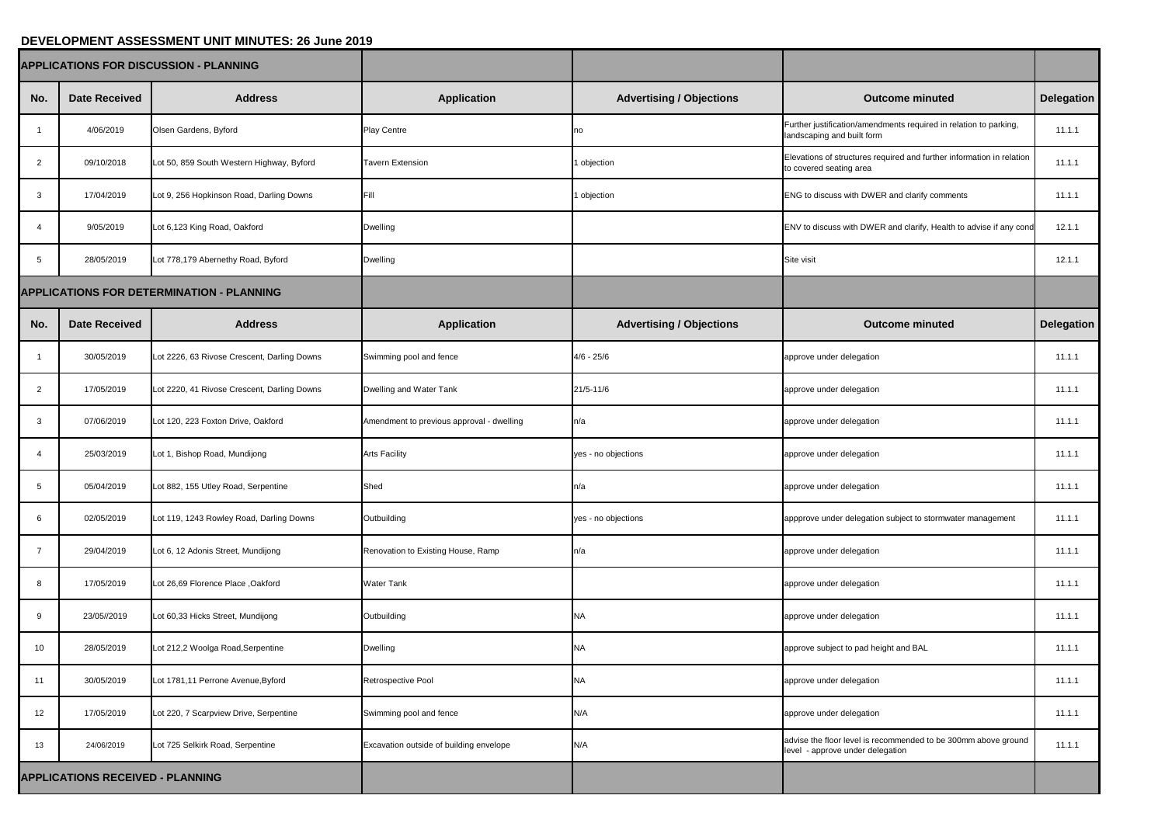## **DEVELOPMENT ASSESSMENT UNIT MINUTES: 26 June 2019**

| <b>APPLICATIONS FOR DISCUSSION - PLANNING</b>    |                      |                                             |                                           |                                 |                                                                                                    |            |
|--------------------------------------------------|----------------------|---------------------------------------------|-------------------------------------------|---------------------------------|----------------------------------------------------------------------------------------------------|------------|
| No.                                              | <b>Date Received</b> | <b>Address</b>                              | <b>Application</b>                        | <b>Advertising / Objections</b> | <b>Outcome minuted</b>                                                                             | Delegation |
|                                                  | 4/06/2019            | Olsen Gardens, Byford                       | <b>Play Centre</b>                        | Ino                             | Further justification/amendments required in relation to parking,<br>landscaping and built form    | 11.1.1     |
| $\overline{2}$                                   | 09/10/2018           | Lot 50, 859 South Western Highway, Byford   | <b>Tavern Extension</b>                   | objection                       | Elevations of structures required and further information in relation<br>to covered seating area   | 11.1.1     |
| 3                                                | 17/04/2019           | Lot 9, 256 Hopkinson Road, Darling Downs    | Fill                                      | objection                       | <b>ENG to discuss with DWER and clarify comments</b>                                               | 11.1.1     |
|                                                  | 9/05/2019            | Lot 6,123 King Road, Oakford                | <b>Dwelling</b>                           |                                 | ENV to discuss with DWER and clarify, Health to advise if any cond                                 | 12.1.1     |
| 5                                                | 28/05/2019           | Lot 778,179 Abernethy Road, Byford          | <b>Dwelling</b>                           |                                 | Site visit                                                                                         | 12.1.1     |
| <b>APPLICATIONS FOR DETERMINATION - PLANNING</b> |                      |                                             |                                           |                                 |                                                                                                    |            |
| No.                                              | <b>Date Received</b> | <b>Address</b>                              | <b>Application</b>                        | <b>Advertising / Objections</b> | <b>Outcome minuted</b>                                                                             | Delegation |
|                                                  | 30/05/2019           | Lot 2226, 63 Rivose Crescent, Darling Downs | Swimming pool and fence                   | $4/6 - 25/6$                    | approve under delegation                                                                           | 11.1.1     |
| $\overline{2}$                                   | 17/05/2019           | Lot 2220, 41 Rivose Crescent, Darling Downs | Dwelling and Water Tank                   | $21/5 - 11/6$                   | approve under delegation                                                                           | 11.1.1     |
| 3                                                | 07/06/2019           | Lot 120, 223 Foxton Drive, Oakford          | Amendment to previous approval - dwelling | n/a                             | approve under delegation                                                                           | 11.1.1     |
|                                                  | 25/03/2019           | Lot 1, Bishop Road, Mundijong               | <b>Arts Facility</b>                      | yes - no objections             | approve under delegation                                                                           | 11.1.1     |
| 5                                                | 05/04/2019           | Lot 882, 155 Utley Road, Serpentine         | Shed                                      | n/a                             | approve under delegation                                                                           | 11.1.1     |
| $6\phantom{1}6$                                  | 02/05/2019           | Lot 119, 1243 Rowley Road, Darling Downs    | Outbuilding                               | yes - no objections             | appprove under delegation subject to stormwater management                                         | 11.1.1     |
|                                                  | 29/04/2019           | Lot 6, 12 Adonis Street, Mundijong          | Renovation to Existing House, Ramp        | n/a                             | approve under delegation                                                                           | 11.1.1     |
| 8                                                | 17/05/2019           | Lot 26,69 Florence Place, Oakford           | <b>Water Tank</b>                         |                                 | approve under delegation                                                                           | 11.1.1     |
| -9                                               | 23/05//2019          | Lot 60,33 Hicks Street, Mundijong           | Outbuilding                               |                                 | approve under delegation                                                                           | 11.1.1     |
| 10 <sup>°</sup>                                  | 28/05/2019           | Lot 212,2 Woolga Road, Serpentine           | <b>Dwelling</b>                           | <b>NA</b>                       | approve subject to pad height and BAL                                                              | 11.1.1     |
| 11                                               | 30/05/2019           | Lot 1781,11 Perrone Avenue, Byford          | Retrospective Pool                        | <b>NA</b>                       | approve under delegation                                                                           | 11.1.1     |
| 12                                               | 17/05/2019           | Lot 220, 7 Scarpview Drive, Serpentine      | Swimming pool and fence                   | N/A                             | approve under delegation                                                                           | 11.1.1     |
| 13                                               | 24/06/2019           | Lot 725 Selkirk Road, Serpentine            | Excavation outside of building envelope   | N/A                             | advise the floor level is recommended to be 300mm above ground<br>level - approve under delegation | 11.1.1     |
| <b>APPLICATIONS RECEIVED - PLANNING</b>          |                      |                                             |                                           |                                 |                                                                                                    |            |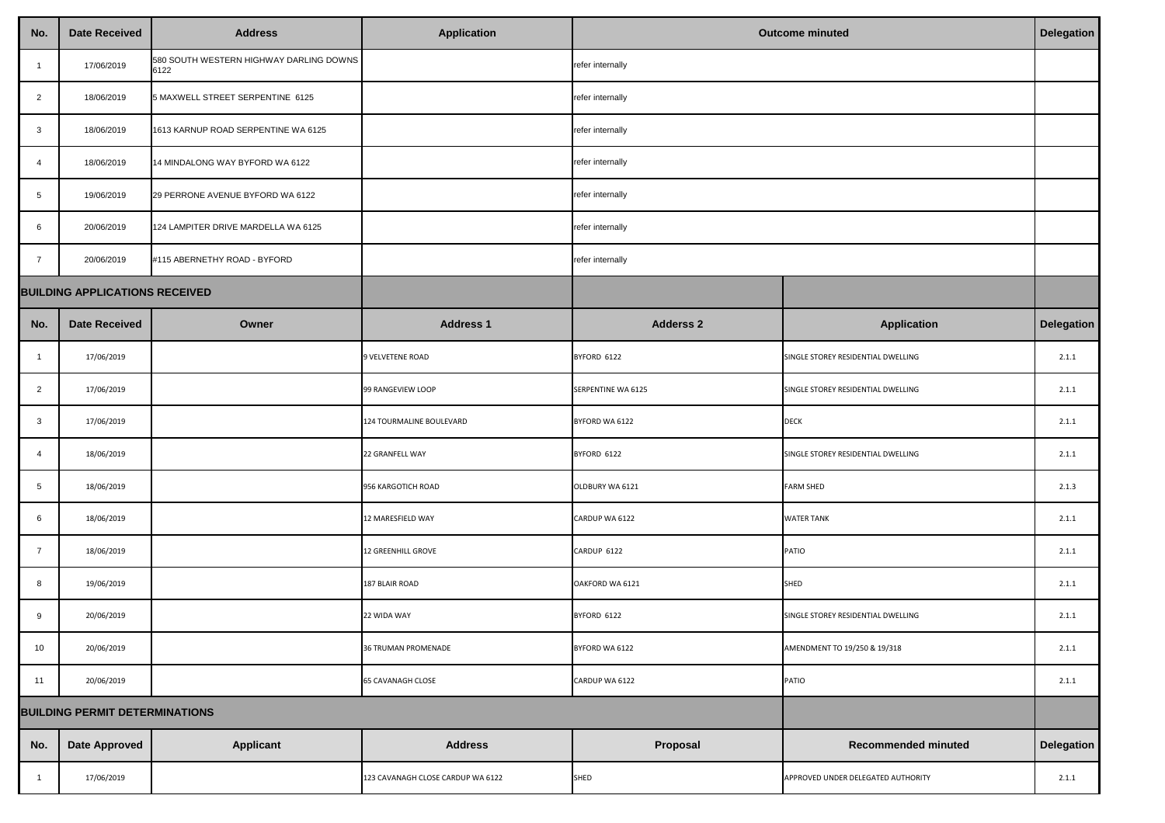| No.                                   | <b>Date Received</b> | <b>Address</b>                                  | <b>Application</b>                | <b>Outcome minuted</b> |                                    | <b>Delegation</b> |
|---------------------------------------|----------------------|-------------------------------------------------|-----------------------------------|------------------------|------------------------------------|-------------------|
|                                       | 17/06/2019           | 580 SOUTH WESTERN HIGHWAY DARLING DOWNS<br>6122 |                                   | refer internally       |                                    |                   |
| $\overline{2}$                        | 18/06/2019           | 5 MAXWELL STREET SERPENTINE 6125                |                                   | refer internally       |                                    |                   |
| $\mathbf{3}$                          | 18/06/2019           | 1613 KARNUP ROAD SERPENTINE WA 6125             |                                   | refer internally       |                                    |                   |
| -4                                    | 18/06/2019           | 14 MINDALONG WAY BYFORD WA 6122                 |                                   | refer internally       |                                    |                   |
| $5\overline{)}$                       | 19/06/2019           | 29 PERRONE AVENUE BYFORD WA 6122                |                                   | refer internally       |                                    |                   |
| 6                                     | 20/06/2019           | 124 LAMPITER DRIVE MARDELLA WA 6125             |                                   | refer internally       |                                    |                   |
| $\overline{7}$                        | 20/06/2019           | #115 ABERNETHY ROAD - BYFORD                    |                                   | refer internally       |                                    |                   |
| <b>BUILDING APPLICATIONS RECEIVED</b> |                      |                                                 |                                   |                        |                                    |                   |
| No.                                   | <b>Date Received</b> | Owner                                           | <b>Address 1</b>                  | <b>Adderss 2</b>       | <b>Application</b>                 | <b>Delegation</b> |
|                                       | 17/06/2019           |                                                 | 9 VELVETENE ROAD                  | BYFORD 6122            | SINGLE STOREY RESIDENTIAL DWELLING | 2.1.1             |
| $\overline{2}$                        | 17/06/2019           |                                                 | 99 RANGEVIEW LOOP                 | SERPENTINE WA 6125     | SINGLE STOREY RESIDENTIAL DWELLING | 2.1.1             |
| $\mathbf{3}$                          | 17/06/2019           |                                                 | 124 TOURMALINE BOULEVARD          | BYFORD WA 6122         | <b>DECK</b>                        | 2.1.1             |
| 4                                     | 18/06/2019           |                                                 | 22 GRANFELL WAY                   | BYFORD 6122            | SINGLE STOREY RESIDENTIAL DWELLING | 2.1.1             |
| 5                                     | 18/06/2019           |                                                 | 956 KARGOTICH ROAD                | OLDBURY WA 6121        | <b>FARM SHED</b>                   | 2.1.3             |
| $6\phantom{.}6$                       | 18/06/2019           |                                                 | 12 MARESFIELD WAY                 | CARDUP WA 6122         | <b>WATER TANK</b>                  | 2.1.1             |
| $\overline{7}$                        | 18/06/2019           |                                                 | 12 GREENHILL GROVE                | CARDUP 6122            | PATIO                              | 2.1.1             |
| 8                                     | 19/06/2019           |                                                 | 187 BLAIR ROAD                    | OAKFORD WA 6121        | <b>SHED</b>                        | 2.1.1             |
| 9                                     | 20/06/2019           |                                                 | 22 WIDA WAY                       | BYFORD 6122            | SINGLE STOREY RESIDENTIAL DWELLING | 2.1.1             |
| 10                                    | 20/06/2019           |                                                 | <b>36 TRUMAN PROMENADE</b>        | BYFORD WA 6122         | AMENDMENT TO 19/250 & 19/318       | 2.1.1             |
| 11                                    | 20/06/2019           |                                                 | <b>65 CAVANAGH CLOSE</b>          | CARDUP WA 6122         | <b>PATIO</b>                       | 2.1.1             |
| <b>BUILDING PERMIT DETERMINATIONS</b> |                      |                                                 |                                   |                        |                                    |                   |
| No.                                   | <b>Date Approved</b> | <b>Applicant</b>                                | <b>Address</b>                    | Proposal               | <b>Recommended minuted</b>         | <b>Delegation</b> |
|                                       | 17/06/2019           |                                                 | 123 CAVANAGH CLOSE CARDUP WA 6122 | <b>SHED</b>            | APPROVED UNDER DELEGATED AUTHORITY | 2.1.1             |